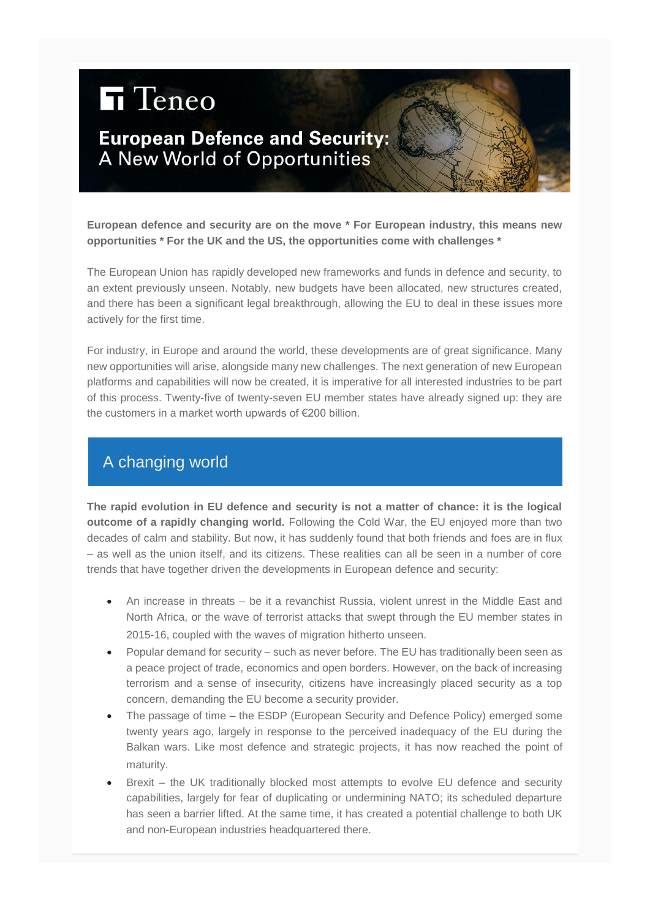# **h** Teneo

## **European Defence and Security:** A New World of Opportunities

**European defence and security are on the move \* For European industry, this means new opportunities \* For the UK and the US, the opportunities come with challenges \***

The European Union has rapidly developed new frameworks and funds in defence and security, to an extent previously unseen. Notably, new budgets have been allocated, new structures created, and there has been a significant legal breakthrough, allowing the EU to deal in these issues more actively for the first time.

For industry, in Europe and around the world, these developments are of great significance. Many new opportunities will arise, alongside many new challenges. The next generation of new European platforms and capabilities will now be created, it is imperative for all interested industries to be part of this process. Twenty-five of twenty-seven EU member states have already signed up: they are the customers in a market worth upwards of €200 billion.

## A changing world

**The rapid evolution in EU defence and security is not a matter of chance: it is the logical outcome of a rapidly changing world.** Following the Cold War, the EU enjoyed more than two decades of calm and stability. But now, it has suddenly found that both friends and foes are in flux – as well as the union itself, and its citizens. These realities can all be seen in a number of core trends that have together driven the developments in European defence and security:

- An increase in threats be it a revanchist Russia, violent unrest in the Middle East and North Africa, or the wave of terrorist attacks that swept through the EU member states in 2015-16, coupled with the waves of migration hitherto unseen.
- Popular demand for security such as never before. The EU has traditionally been seen as a peace project of trade, economics and open borders. However, on the back of increasing terrorism and a sense of insecurity, citizens have increasingly placed security as a top concern, demanding the EU become a security provider.
- The passage of time the ESDP (European Security and Defence Policy) emerged some twenty years ago, largely in response to the perceived inadequacy of the EU during the Balkan wars. Like most defence and strategic projects, it has now reached the point of maturity.
- Brexit the UK traditionally blocked most attempts to evolve EU defence and security capabilities, largely for fear of duplicating or undermining NATO; its scheduled departure has seen a barrier lifted. At the same time, it has created a potential challenge to both UK and non-European industries headquartered there.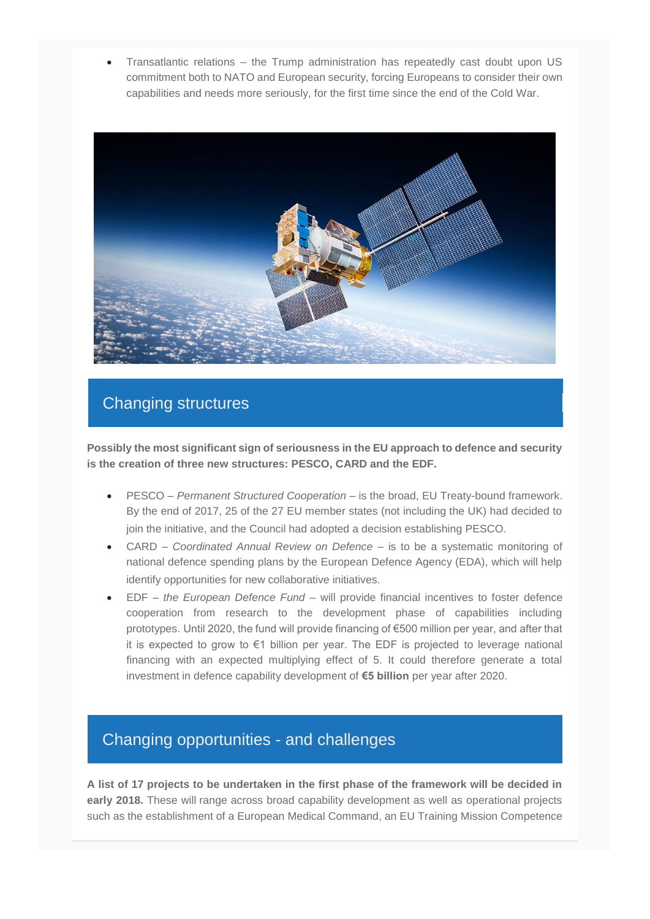• Transatlantic relations – the Trump administration has repeatedly cast doubt upon US commitment both to NATO and European security, forcing Europeans to consider their own capabilities and needs more seriously, for the first time since the end of the Cold War.



## Changing structures

**Possibly the most significant sign of seriousness in the EU approach to defence and security is the creation of three new structures: PESCO, CARD and the EDF.**

- PESCO *Permanent Structured Cooperation* is the broad, EU Treaty-bound framework. By the end of 2017, 25 of the 27 EU member states (not including the UK) had decided to join the initiative, and the Council had adopted a decision establishing PESCO.
- CARD *Coordinated Annual Review on Defence* is to be a systematic monitoring of national defence spending plans by the European Defence Agency (EDA), which will help identify opportunities for new collaborative initiatives.
- EDF *the European Defence Fund* will provide financial incentives to foster defence cooperation from research to the development phase of capabilities including prototypes. Until 2020, the fund will provide financing of €500 million per year, and after that it is expected to grow to €1 billion per year. The EDF is projected to leverage national financing with an expected multiplying effect of 5. It could therefore generate a total investment in defence capability development of **€5 billion** per year after 2020.

## Changing opportunities - and challenges

**A list of 17 projects to be undertaken in the first phase of the framework will be decided in early 2018.** These will range across broad capability development as well as operational projects such as the establishment of a European Medical Command, an EU Training Mission Competence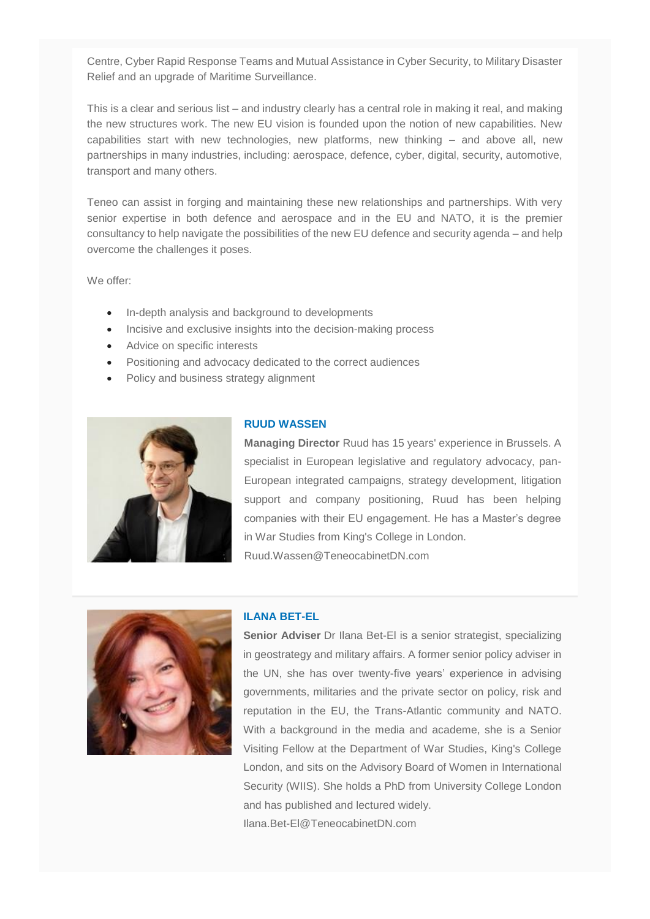Centre, Cyber Rapid Response Teams and Mutual Assistance in Cyber Security, to Military Disaster Relief and an upgrade of Maritime Surveillance.

This is a clear and serious list – and industry clearly has a central role in making it real, and making the new structures work. The new EU vision is founded upon the notion of new capabilities. New capabilities start with new technologies, new platforms, new thinking – and above all, new partnerships in many industries, including: aerospace, defence, cyber, digital, security, automotive, transport and many others.

Teneo can assist in forging and maintaining these new relationships and partnerships. With very senior expertise in both defence and aerospace and in the EU and NATO, it is the premier consultancy to help navigate the possibilities of the new EU defence and security agenda – and help overcome the challenges it poses.

We offer:

- In-depth analysis and background to developments
- Incisive and exclusive insights into the decision-making process
- Advice on specific interests
- Positioning and advocacy dedicated to the correct audiences
- Policy and business strategy alignment



#### **RUUD WASSEN**

**Managing Director** Ruud has 15 years' experience in Brussels. A specialist in European legislative and regulatory advocacy, pan-European integrated campaigns, strategy development, litigation support and company positioning, Ruud has been helping companies with their EU engagement. He has a Master's degree in War Studies from King's College in London. Ruud.Wassen@TeneocabinetDN.com



### **ILANA BET-EL**

**Senior Adviser** Dr Ilana Bet-El is a senior strategist, specializing in geostrategy and military affairs. A former senior policy adviser in the UN, she has over twenty-five years' experience in advising governments, militaries and the private sector on policy, risk and reputation in the EU, the Trans-Atlantic community and NATO. With a background in the media and academe, she is a Senior Visiting Fellow at the Department of War Studies, King's College London, and sits on the Advisory Board of Women in International Security (WIIS). She holds a PhD from University College London and has published and lectured widely. Ilana.Bet-El@TeneocabinetDN.com